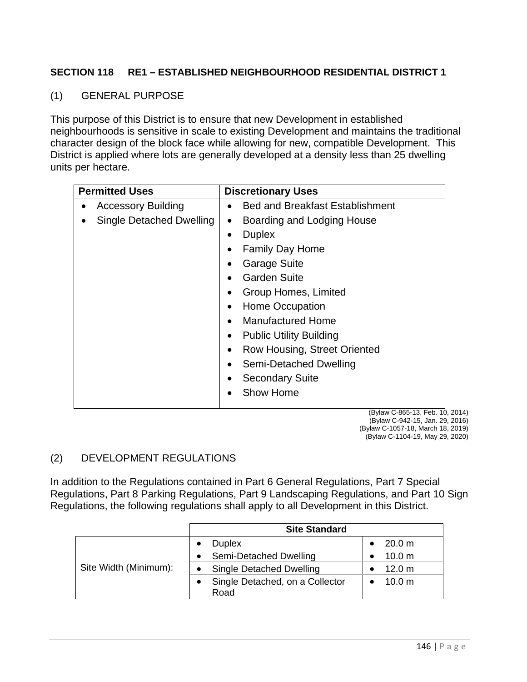## **SECTION 118 RE1 – ESTABLISHED NEIGHBOURHOOD RESIDENTIAL DISTRICT 1**

### (1) GENERAL PURPOSE

This purpose of this District is to ensure that new Development in established neighbourhoods is sensitive in scale to existing Development and maintains the traditional character design of the block face while allowing for new, compatible Development. This District is applied where lots are generally developed at a density less than 25 dwelling units per hectare.

| <b>Permitted Uses</b>           | <b>Discretionary Uses</b>                   |
|---------------------------------|---------------------------------------------|
| <b>Accessory Building</b>       | <b>Bed and Breakfast Establishment</b>      |
| <b>Single Detached Dwelling</b> | Boarding and Lodging House<br>٠             |
|                                 | <b>Duplex</b><br>$\bullet$                  |
|                                 | <b>Family Day Home</b>                      |
|                                 | <b>Garage Suite</b>                         |
|                                 | <b>Garden Suite</b>                         |
|                                 | Group Homes, Limited<br>٠                   |
|                                 | Home Occupation<br>$\bullet$                |
|                                 | <b>Manufactured Home</b><br>$\bullet$       |
|                                 | <b>Public Utility Building</b><br>$\bullet$ |
|                                 | <b>Row Housing, Street Oriented</b>         |
|                                 | Semi-Detached Dwelling<br>$\bullet$         |
|                                 | <b>Secondary Suite</b>                      |
|                                 | <b>Show Home</b>                            |
|                                 | (Bylaw C-865-13, Feb. 10, 2                 |

2014) (Bylaw C-942-15, Jan. 29, 2016) (Bylaw C-1057-18, March 18, 2019) (Bylaw C-1104-19, May 29, 2020)

# (2) DEVELOPMENT REGULATIONS

In addition to the Regulations contained in Part 6 General Regulations, Part 7 Special Regulations, Part 8 Parking Regulations, Part 9 Landscaping Regulations, and Part 10 Sign Regulations, the following regulations shall apply to all Development in this District.

|                       | <b>Site Standard</b>                    |                   |  |
|-----------------------|-----------------------------------------|-------------------|--|
| Site Width (Minimum): | <b>Duplex</b>                           | 20.0 m            |  |
|                       | • Semi-Detached Dwelling                | 10.0 <sub>m</sub> |  |
|                       | • Single Detached Dwelling              | 12.0 m            |  |
|                       | Single Detached, on a Collector<br>Road | 10.0 m            |  |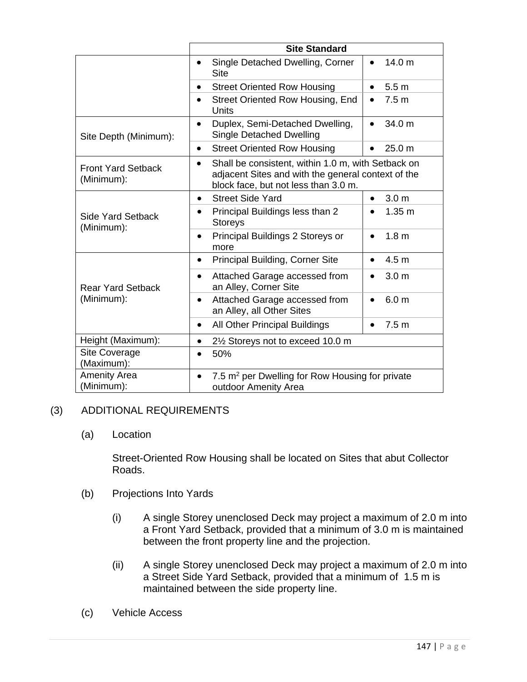|                                         | <b>Site Standard</b>                                                                                                                                          |                                |  |
|-----------------------------------------|---------------------------------------------------------------------------------------------------------------------------------------------------------------|--------------------------------|--|
|                                         | Single Detached Dwelling, Corner<br>$\bullet$<br><b>Site</b>                                                                                                  | 14.0 <sub>m</sub><br>$\bullet$ |  |
|                                         | <b>Street Oriented Row Housing</b><br>$\bullet$                                                                                                               | 5.5 <sub>m</sub><br>$\bullet$  |  |
|                                         | Street Oriented Row Housing, End<br>$\bullet$<br>Units                                                                                                        | 7.5 <sub>m</sub><br>$\bullet$  |  |
| Site Depth (Minimum):                   | Duplex, Semi-Detached Dwelling,<br>$\bullet$<br><b>Single Detached Dwelling</b>                                                                               | 34.0 m<br>$\bullet$            |  |
|                                         | <b>Street Oriented Row Housing</b><br>$\bullet$                                                                                                               | 25.0 m<br>$\bullet$            |  |
| <b>Front Yard Setback</b><br>(Minimum): | Shall be consistent, within 1.0 m, with Setback on<br>$\bullet$<br>adjacent Sites and with the general context of the<br>block face, but not less than 3.0 m. |                                |  |
| <b>Side Yard Setback</b><br>(Minimum):  | <b>Street Side Yard</b><br>$\bullet$                                                                                                                          | 3.0 <sub>m</sub><br>$\bullet$  |  |
|                                         | Principal Buildings less than 2<br>$\bullet$<br><b>Storeys</b>                                                                                                | 1.35 <sub>m</sub><br>$\bullet$ |  |
|                                         | Principal Buildings 2 Storeys or<br>$\bullet$<br>more                                                                                                         | 1.8 <sub>m</sub><br>$\bullet$  |  |
| <b>Rear Yard Setback</b><br>(Minimum):  | <b>Principal Building, Corner Site</b><br>$\bullet$                                                                                                           | 4.5 <sub>m</sub><br>$\bullet$  |  |
|                                         | Attached Garage accessed from<br>$\bullet$<br>an Alley, Corner Site                                                                                           | 3.0 <sub>m</sub><br>$\bullet$  |  |
|                                         | Attached Garage accessed from<br>an Alley, all Other Sites                                                                                                    | 6.0 <sub>m</sub><br>$\bullet$  |  |
|                                         | All Other Principal Buildings<br>$\bullet$                                                                                                                    | 7.5 <sub>m</sub><br>$\bullet$  |  |
| Height (Maximum):                       | 2 <sup>1</sup> / <sub>2</sub> Storeys not to exceed 10.0 m<br>$\bullet$                                                                                       |                                |  |
| Site Coverage<br>(Maximum):             | 50%<br>$\bullet$                                                                                                                                              |                                |  |
| <b>Amenity Area</b><br>(Minimum):       | 7.5 m <sup>2</sup> per Dwelling for Row Housing for private<br>outdoor Amenity Area                                                                           |                                |  |

### (3) ADDITIONAL REQUIREMENTS

### (a) Location

Street-Oriented Row Housing shall be located on Sites that abut Collector Roads.

- (b) Projections Into Yards
	- (i) A single Storey unenclosed Deck may project a maximum of 2.0 m into a Front Yard Setback, provided that a minimum of 3.0 m is maintained between the front property line and the projection.
	- (ii) A single Storey unenclosed Deck may project a maximum of 2.0 m into a Street Side Yard Setback, provided that a minimum of 1.5 m is maintained between the side property line.
- (c) Vehicle Access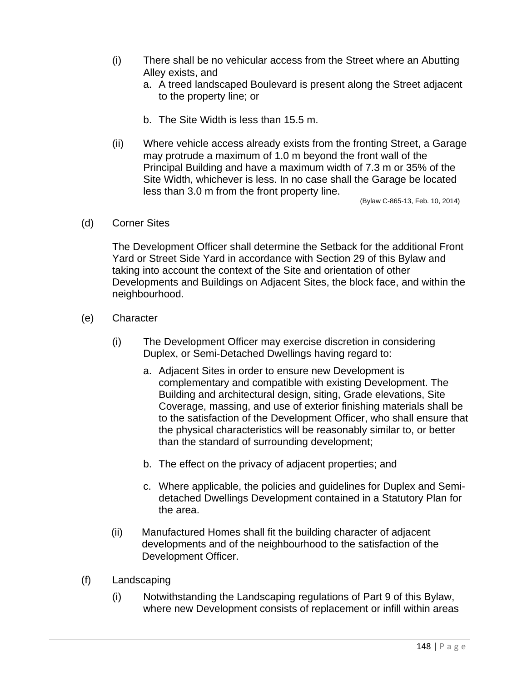- (i) There shall be no vehicular access from the Street where an Abutting Alley exists, and
	- a. A treed landscaped Boulevard is present along the Street adjacent to the property line; or
	- b. The Site Width is less than 15.5 m.
- (ii) Where vehicle access already exists from the fronting Street, a Garage may protrude a maximum of 1.0 m beyond the front wall of the Principal Building and have a maximum width of 7.3 m or 35% of the Site Width, whichever is less. In no case shall the Garage be located less than 3.0 m from the front property line.

(Bylaw C-865-13, Feb. 10, 2014)

(d) Corner Sites

The Development Officer shall determine the Setback for the additional Front Yard or Street Side Yard in accordance with Section 29 of this Bylaw and taking into account the context of the Site and orientation of other Developments and Buildings on Adjacent Sites, the block face, and within the neighbourhood.

- (e) Character
	- (i) The Development Officer may exercise discretion in considering Duplex, or Semi-Detached Dwellings having regard to:
		- a. Adjacent Sites in order to ensure new Development is complementary and compatible with existing Development. The Building and architectural design, siting, Grade elevations, Site Coverage, massing, and use of exterior finishing materials shall be to the satisfaction of the Development Officer, who shall ensure that the physical characteristics will be reasonably similar to, or better than the standard of surrounding development;
		- b. The effect on the privacy of adjacent properties; and
		- c. Where applicable, the policies and guidelines for Duplex and Semidetached Dwellings Development contained in a Statutory Plan for the area.
	- (ii) Manufactured Homes shall fit the building character of adjacent developments and of the neighbourhood to the satisfaction of the Development Officer.
- (f) Landscaping
	- (i) Notwithstanding the Landscaping regulations of Part 9 of this Bylaw, where new Development consists of replacement or infill within areas